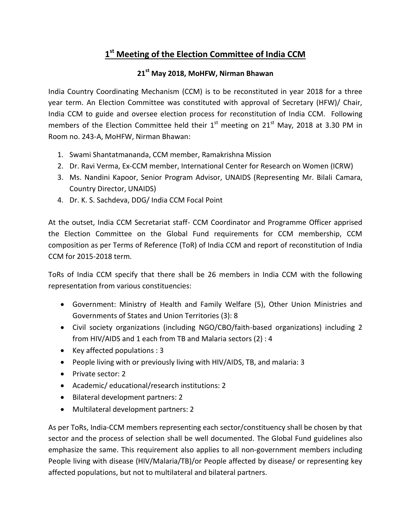## **1 st Meeting of the Election Committee of India CCM**

## **21st May 2018, MoHFW, Nirman Bhawan**

India Country Coordinating Mechanism (CCM) is to be reconstituted in year 2018 for a three year term. An Election Committee was constituted with approval of Secretary (HFW)/ Chair, India CCM to guide and oversee election process for reconstitution of India CCM. Following members of the Election Committee held their  $1^{st}$  meeting on  $21^{st}$  May, 2018 at 3.30 PM in Room no. 243-A, MoHFW, Nirman Bhawan:

- 1. Swami Shantatmananda, CCM member, Ramakrishna Mission
- 2. Dr. Ravi Verma, Ex-CCM member, International Center for Research on Women (ICRW)
- 3. Ms. Nandini Kapoor, Senior Program Advisor, UNAIDS (Representing Mr. Bilali Camara, Country Director, UNAIDS)
- 4. Dr. K. S. Sachdeva, DDG/ India CCM Focal Point

At the outset, India CCM Secretariat staff- CCM Coordinator and Programme Officer apprised the Election Committee on the Global Fund requirements for CCM membership, CCM composition as per Terms of Reference (ToR) of India CCM and report of reconstitution of India CCM for 2015-2018 term.

ToRs of India CCM specify that there shall be 26 members in India CCM with the following representation from various constituencies:

- Government: Ministry of Health and Family Welfare (5), Other Union Ministries and Governments of States and Union Territories (3): 8
- Civil society organizations (including NGO/CBO/faith-based organizations) including 2 from HIV/AIDS and 1 each from TB and Malaria sectors (2) : 4
- Exercised populations : 3
- People living with or previously living with HIV/AIDS, TB, and malaria: 3
- Private sector: 2
- Academic/ educational/research institutions: 2
- Bilateral development partners: 2
- Multilateral development partners: 2

As per ToRs, India-CCM members representing each sector/constituency shall be chosen by that sector and the process of selection shall be well documented. The Global Fund guidelines also emphasize the same. This requirement also applies to all non-government members including People living with disease (HIV/Malaria/TB)/or People affected by disease/ or representing key affected populations, but not to multilateral and bilateral partners.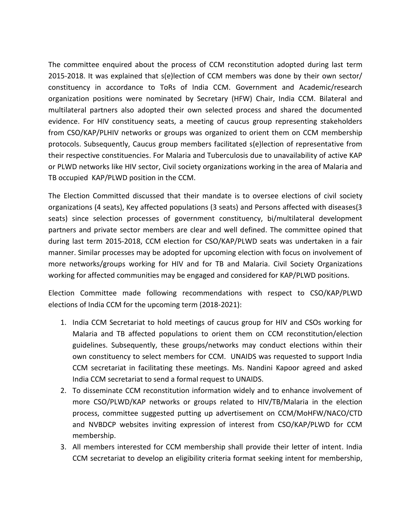The committee enquired about the process of CCM reconstitution adopted during last term 2015-2018. It was explained that s(e)lection of CCM members was done by their own sector/ constituency in accordance to ToRs of India CCM. Government and Academic/research organization positions were nominated by Secretary (HFW) Chair, India CCM. Bilateral and multilateral partners also adopted their own selected process and shared the documented evidence. For HIV constituency seats, a meeting of caucus group representing stakeholders from CSO/KAP/PLHIV networks or groups was organized to orient them on CCM membership protocols. Subsequently, Caucus group members facilitated s(e)lection of representative from their respective constituencies. For Malaria and Tuberculosis due to unavailability of active KAP or PLWD networks like HIV sector, Civil society organizations working in the area of Malaria and TB occupied KAP/PLWD position in the CCM.

The Election Committed discussed that their mandate is to oversee elections of civil society organizations (4 seats), Key affected populations (3 seats) and Persons affected with diseases(3 seats) since selection processes of government constituency, bi/multilateral development partners and private sector members are clear and well defined. The committee opined that during last term 2015-2018, CCM election for CSO/KAP/PLWD seats was undertaken in a fair manner. Similar processes may be adopted for upcoming election with focus on involvement of more networks/groups working for HIV and for TB and Malaria. Civil Society Organizations working for affected communities may be engaged and considered for KAP/PLWD positions.

Election Committee made following recommendations with respect to CSO/KAP/PLWD elections of India CCM for the upcoming term (2018-2021):

- 1. India CCM Secretariat to hold meetings of caucus group for HIV and CSOs working for Malaria and TB affected populations to orient them on CCM reconstitution/election guidelines. Subsequently, these groups/networks may conduct elections within their own constituency to select members for CCM. UNAIDS was requested to support India CCM secretariat in facilitating these meetings. Ms. Nandini Kapoor agreed and asked India CCM secretariat to send a formal request to UNAIDS.
- 2. To disseminate CCM reconstitution information widely and to enhance involvement of more CSO/PLWD/KAP networks or groups related to HIV/TB/Malaria in the election process, committee suggested putting up advertisement on CCM/MoHFW/NACO/CTD and NVBDCP websites inviting expression of interest from CSO/KAP/PLWD for CCM membership.
- 3. All members interested for CCM membership shall provide their letter of intent. India CCM secretariat to develop an eligibility criteria format seeking intent for membership,